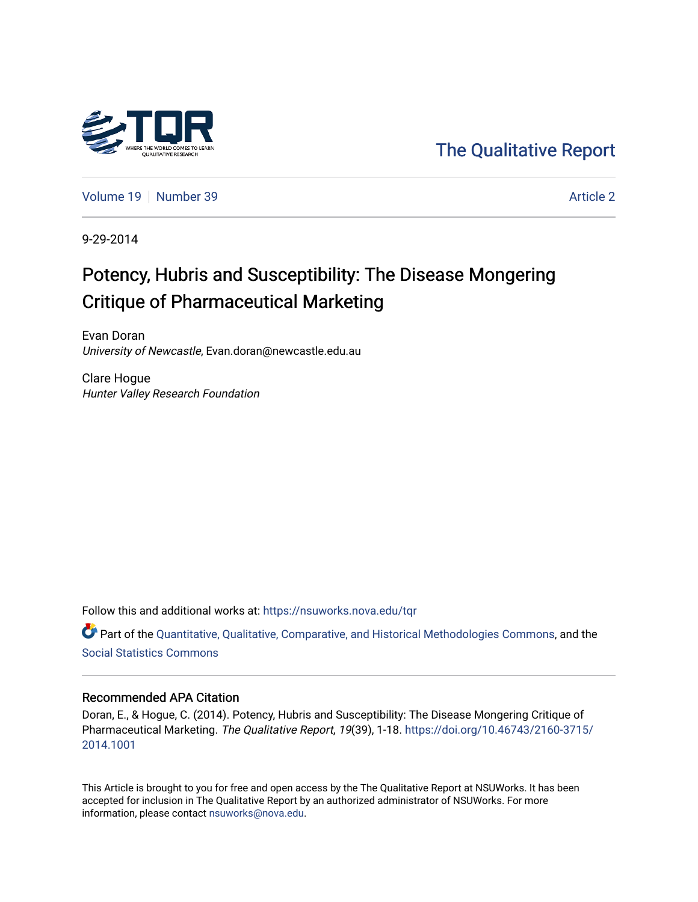

[The Qualitative Report](https://nsuworks.nova.edu/tqr) 

[Volume 19](https://nsuworks.nova.edu/tqr/vol19) [Number 39](https://nsuworks.nova.edu/tqr/vol19/iss39) Article 2

9-29-2014

# Potency, Hubris and Susceptibility: The Disease Mongering Critique of Pharmaceutical Marketing

Evan Doran University of Newcastle, Evan.doran@newcastle.edu.au

Clare Hogue Hunter Valley Research Foundation

Follow this and additional works at: [https://nsuworks.nova.edu/tqr](https://nsuworks.nova.edu/tqr?utm_source=nsuworks.nova.edu%2Ftqr%2Fvol19%2Fiss39%2F2&utm_medium=PDF&utm_campaign=PDFCoverPages) 

Part of the [Quantitative, Qualitative, Comparative, and Historical Methodologies Commons,](http://network.bepress.com/hgg/discipline/423?utm_source=nsuworks.nova.edu%2Ftqr%2Fvol19%2Fiss39%2F2&utm_medium=PDF&utm_campaign=PDFCoverPages) and the [Social Statistics Commons](http://network.bepress.com/hgg/discipline/1275?utm_source=nsuworks.nova.edu%2Ftqr%2Fvol19%2Fiss39%2F2&utm_medium=PDF&utm_campaign=PDFCoverPages) 

## Recommended APA Citation

Doran, E., & Hogue, C. (2014). Potency, Hubris and Susceptibility: The Disease Mongering Critique of Pharmaceutical Marketing. The Qualitative Report, 19(39), 1-18. [https://doi.org/10.46743/2160-3715/](https://doi.org/10.46743/2160-3715/2014.1001) [2014.1001](https://doi.org/10.46743/2160-3715/2014.1001) 

This Article is brought to you for free and open access by the The Qualitative Report at NSUWorks. It has been accepted for inclusion in The Qualitative Report by an authorized administrator of NSUWorks. For more information, please contact [nsuworks@nova.edu.](mailto:nsuworks@nova.edu)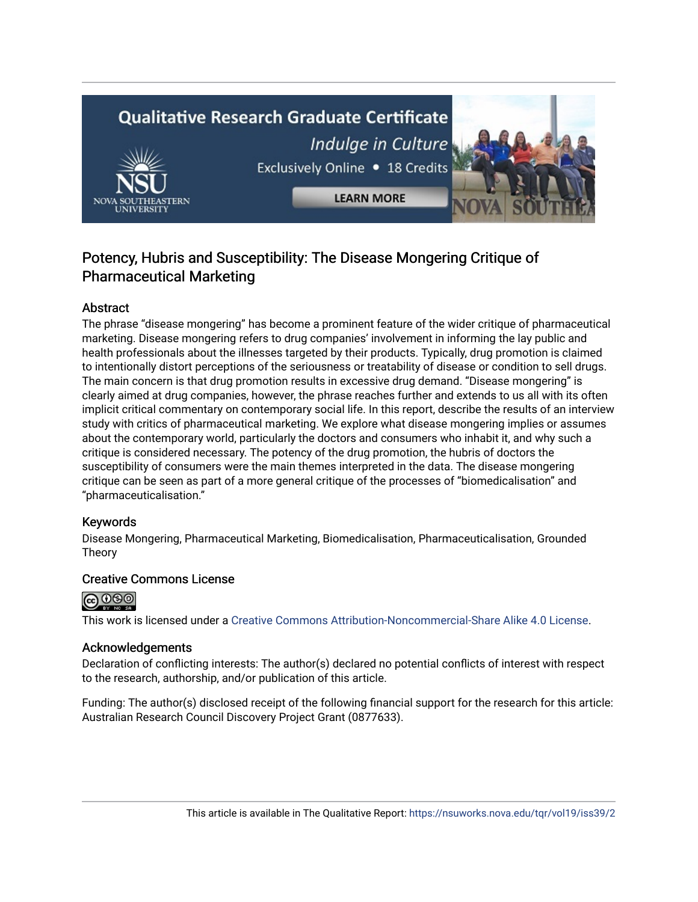# **Qualitative Research Graduate Certificate** Indulge in Culture Exclusively Online . 18 Credits **LEARN MORE**

# Potency, Hubris and Susceptibility: The Disease Mongering Critique of Pharmaceutical Marketing

# Abstract

The phrase "disease mongering" has become a prominent feature of the wider critique of pharmaceutical marketing. Disease mongering refers to drug companies' involvement in informing the lay public and health professionals about the illnesses targeted by their products. Typically, drug promotion is claimed to intentionally distort perceptions of the seriousness or treatability of disease or condition to sell drugs. The main concern is that drug promotion results in excessive drug demand. "Disease mongering" is clearly aimed at drug companies, however, the phrase reaches further and extends to us all with its often implicit critical commentary on contemporary social life. In this report, describe the results of an interview study with critics of pharmaceutical marketing. We explore what disease mongering implies or assumes about the contemporary world, particularly the doctors and consumers who inhabit it, and why such a critique is considered necessary. The potency of the drug promotion, the hubris of doctors the susceptibility of consumers were the main themes interpreted in the data. The disease mongering critique can be seen as part of a more general critique of the processes of "biomedicalisation" and "pharmaceuticalisation."

# Keywords

Disease Mongering, Pharmaceutical Marketing, Biomedicalisation, Pharmaceuticalisation, Grounded Theory

# Creative Commons License



This work is licensed under a [Creative Commons Attribution-Noncommercial-Share Alike 4.0 License](https://creativecommons.org/licenses/by-nc-sa/4.0/).

# Acknowledgements

Declaration of conflicting interests: The author(s) declared no potential conflicts of interest with respect to the research, authorship, and/or publication of this article.

Funding: The author(s) disclosed receipt of the following financial support for the research for this article: Australian Research Council Discovery Project Grant (0877633).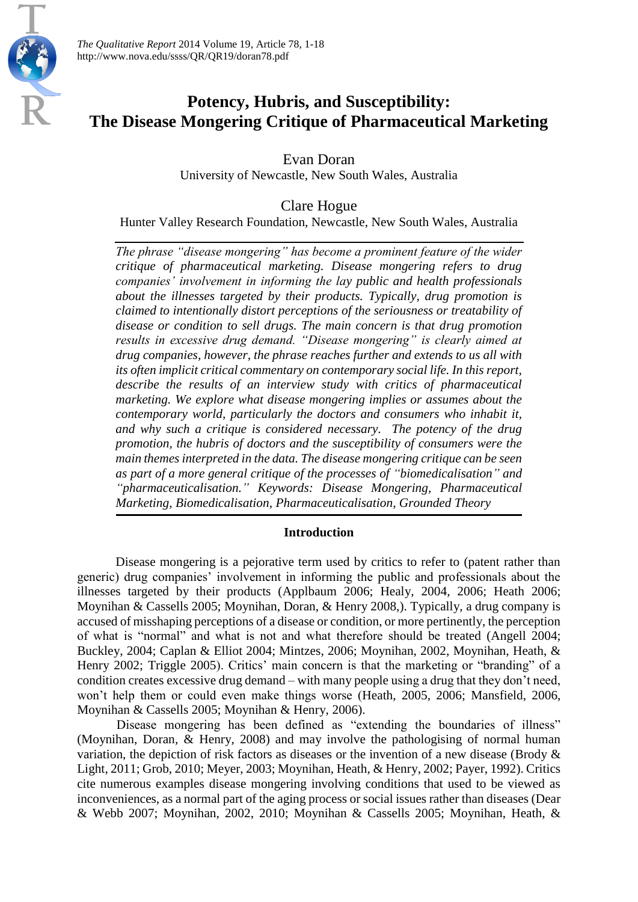# **Potency, Hubris, and Susceptibility: The Disease Mongering Critique of Pharmaceutical Marketing**

Evan Doran

University of Newcastle, New South Wales, Australia

Clare Hogue

Hunter Valley Research Foundation, Newcastle, New South Wales, Australia

*The phrase "disease mongering" has become a prominent feature of the wider critique of pharmaceutical marketing. Disease mongering refers to drug companies' involvement in informing the lay public and health professionals about the illnesses targeted by their products. Typically, drug promotion is claimed to intentionally distort perceptions of the seriousness or treatability of disease or condition to sell drugs. The main concern is that drug promotion results in excessive drug demand. "Disease mongering" is clearly aimed at drug companies, however, the phrase reaches further and extends to us all with its often implicit critical commentary on contemporary social life. In this report, describe the results of an interview study with critics of pharmaceutical marketing. We explore what disease mongering implies or assumes about the contemporary world, particularly the doctors and consumers who inhabit it, and why such a critique is considered necessary. The potency of the drug promotion, the hubris of doctors and the susceptibility of consumers were the main themes interpreted in the data. The disease mongering critique can be seen as part of a more general critique of the processes of "biomedicalisation" and "pharmaceuticalisation." Keywords: Disease Mongering, Pharmaceutical Marketing, Biomedicalisation, Pharmaceuticalisation, Grounded Theory*

# **Introduction**

Disease mongering is a pejorative term used by critics to refer to (patent rather than generic) drug companies' involvement in informing the public and professionals about the illnesses targeted by their products (Applbaum 2006; Healy, 2004, 2006; Heath 2006; Moynihan & Cassells 2005; Moynihan, Doran, & Henry 2008,). Typically, a drug company is accused of misshaping perceptions of a disease or condition, or more pertinently, the perception of what is "normal" and what is not and what therefore should be treated (Angell 2004; Buckley, 2004; Caplan & Elliot 2004; Mintzes, 2006; Moynihan, 2002, Moynihan, Heath, & Henry 2002; Triggle 2005). Critics' main concern is that the marketing or "branding" of a condition creates excessive drug demand – with many people using a drug that they don't need, won't help them or could even make things worse (Heath, 2005, 2006; Mansfield, 2006, Moynihan & Cassells 2005; Moynihan & Henry, 2006).

Disease mongering has been defined as "extending the boundaries of illness" (Moynihan, Doran, & Henry, 2008) and may involve the pathologising of normal human variation, the depiction of risk factors as diseases or the invention of a new disease (Brody & Light, 2011; Grob, 2010; Meyer, 2003; Moynihan, Heath, & Henry, 2002; Payer, 1992). Critics cite numerous examples disease mongering involving conditions that used to be viewed as inconveniences, as a normal part of the aging process or social issues rather than diseases (Dear & Webb 2007; Moynihan, 2002, 2010; Moynihan & Cassells 2005; Moynihan, Heath, &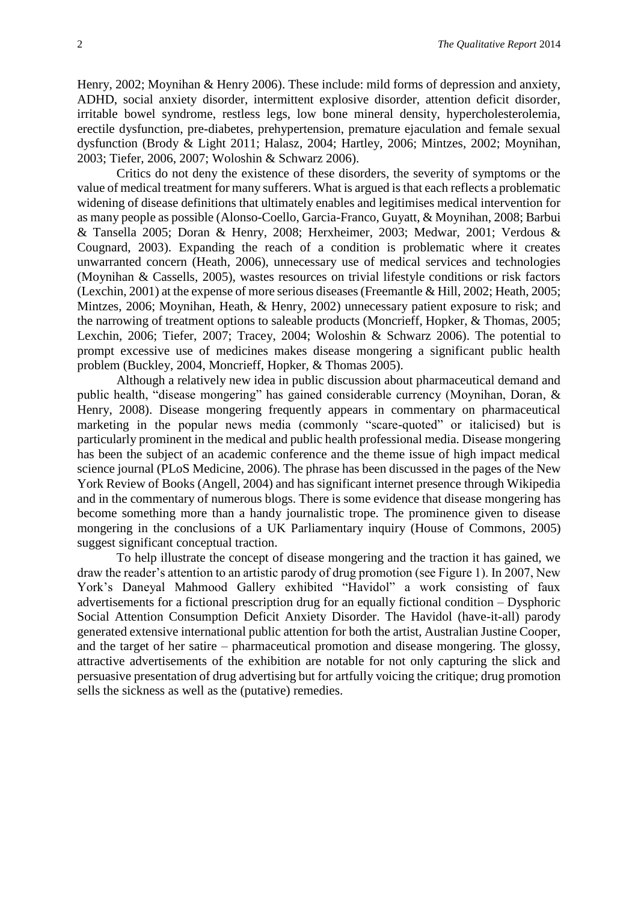Henry, 2002; Moynihan & Henry 2006). These include: mild forms of depression and anxiety, ADHD, social anxiety disorder, intermittent explosive disorder, attention deficit disorder, irritable bowel syndrome, restless legs, low bone mineral density, hypercholesterolemia, erectile dysfunction, pre-diabetes, prehypertension, premature ejaculation and female sexual dysfunction (Brody & Light 2011; Halasz, 2004; Hartley, 2006; Mintzes, 2002; Moynihan, 2003; Tiefer, 2006, 2007; Woloshin & Schwarz 2006).

Critics do not deny the existence of these disorders, the severity of symptoms or the value of medical treatment for many sufferers. What is argued is that each reflects a problematic widening of disease definitions that ultimately enables and legitimises medical intervention for as many people as possible (Alonso-Coello, Garcia-Franco, Guyatt, & Moynihan, 2008; Barbui & Tansella 2005; Doran & Henry, 2008; Herxheimer, 2003; Medwar, 2001; Verdous & Cougnard, 2003). Expanding the reach of a condition is problematic where it creates unwarranted concern (Heath, 2006), unnecessary use of medical services and technologies (Moynihan & Cassells, 2005), wastes resources on trivial lifestyle conditions or risk factors (Lexchin, 2001) at the expense of more serious diseases (Freemantle & Hill, 2002; Heath, 2005; Mintzes, 2006; Moynihan, Heath, & Henry, 2002) unnecessary patient exposure to risk; and the narrowing of treatment options to saleable products (Moncrieff, Hopker, & Thomas, 2005; Lexchin, 2006; Tiefer, 2007; Tracey, 2004; Woloshin & Schwarz 2006). The potential to prompt excessive use of medicines makes disease mongering a significant public health problem (Buckley, 2004, Moncrieff, Hopker, & Thomas 2005).

Although a relatively new idea in public discussion about pharmaceutical demand and public health, "disease mongering" has gained considerable currency (Moynihan, Doran, & Henry, 2008). Disease mongering frequently appears in commentary on pharmaceutical marketing in the popular news media (commonly "scare-quoted" or italicised) but is particularly prominent in the medical and public health professional media. Disease mongering has been the subject of an academic conference and the theme issue of high impact medical science journal (PLoS Medicine, 2006). The phrase has been discussed in the pages of the New York Review of Books (Angell, 2004) and has significant internet presence through Wikipedia and in the commentary of numerous blogs. There is some evidence that disease mongering has become something more than a handy journalistic trope. The prominence given to disease mongering in the conclusions of a UK Parliamentary inquiry (House of Commons, 2005) suggest significant conceptual traction.

To help illustrate the concept of disease mongering and the traction it has gained, we draw the reader's attention to an artistic parody of drug promotion (see Figure 1). In 2007, New York's Daneyal Mahmood Gallery exhibited "Havidol" a work consisting of faux advertisements for a fictional prescription drug for an equally fictional condition – Dysphoric Social Attention Consumption Deficit Anxiety Disorder. The Havidol (have-it-all) parody generated extensive international public attention for both the artist, Australian Justine Cooper, and the target of her satire – pharmaceutical promotion and disease mongering. The glossy, attractive advertisements of the exhibition are notable for not only capturing the slick and persuasive presentation of drug advertising but for artfully voicing the critique; drug promotion sells the sickness as well as the (putative) remedies.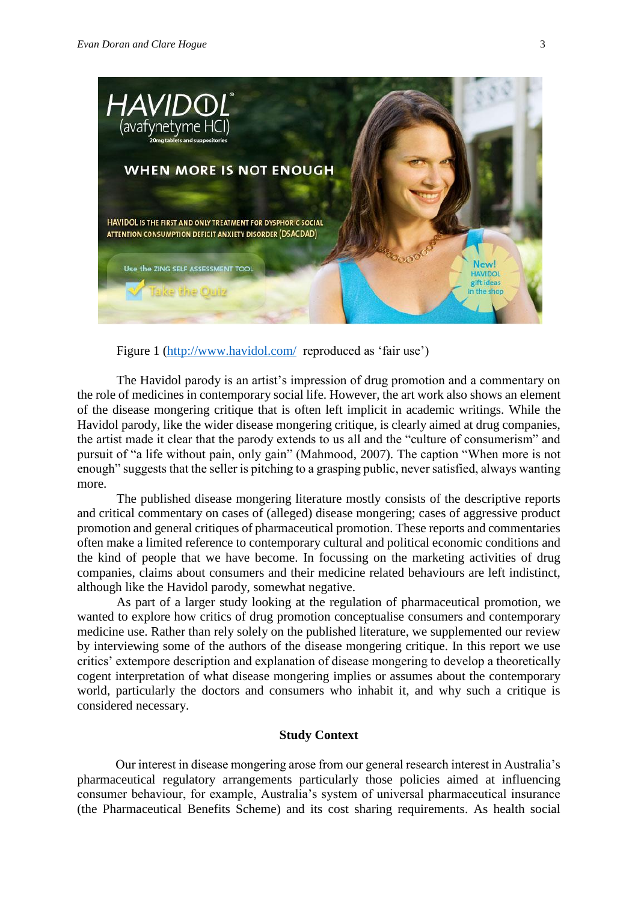

Figure 1 [\(http://www.havidol.com/](http://www.havidol.com/) reproduced as 'fair use')

The Havidol parody is an artist's impression of drug promotion and a commentary on the role of medicines in contemporary social life. However, the art work also shows an element of the disease mongering critique that is often left implicit in academic writings. While the Havidol parody, like the wider disease mongering critique, is clearly aimed at drug companies, the artist made it clear that the parody extends to us all and the "culture of consumerism" and pursuit of "a life without pain, only gain" (Mahmood, 2007). The caption "When more is not enough" suggests that the seller is pitching to a grasping public, never satisfied, always wanting more.

The published disease mongering literature mostly consists of the descriptive reports and critical commentary on cases of (alleged) disease mongering; cases of aggressive product promotion and general critiques of pharmaceutical promotion. These reports and commentaries often make a limited reference to contemporary cultural and political economic conditions and the kind of people that we have become. In focussing on the marketing activities of drug companies, claims about consumers and their medicine related behaviours are left indistinct, although like the Havidol parody, somewhat negative.

As part of a larger study looking at the regulation of pharmaceutical promotion, we wanted to explore how critics of drug promotion conceptualise consumers and contemporary medicine use. Rather than rely solely on the published literature, we supplemented our review by interviewing some of the authors of the disease mongering critique. In this report we use critics' extempore description and explanation of disease mongering to develop a theoretically cogent interpretation of what disease mongering implies or assumes about the contemporary world, particularly the doctors and consumers who inhabit it, and why such a critique is considered necessary.

## **Study Context**

Our interest in disease mongering arose from our general research interest in Australia's pharmaceutical regulatory arrangements particularly those policies aimed at influencing consumer behaviour, for example, Australia's system of universal pharmaceutical insurance (the Pharmaceutical Benefits Scheme) and its cost sharing requirements. As health social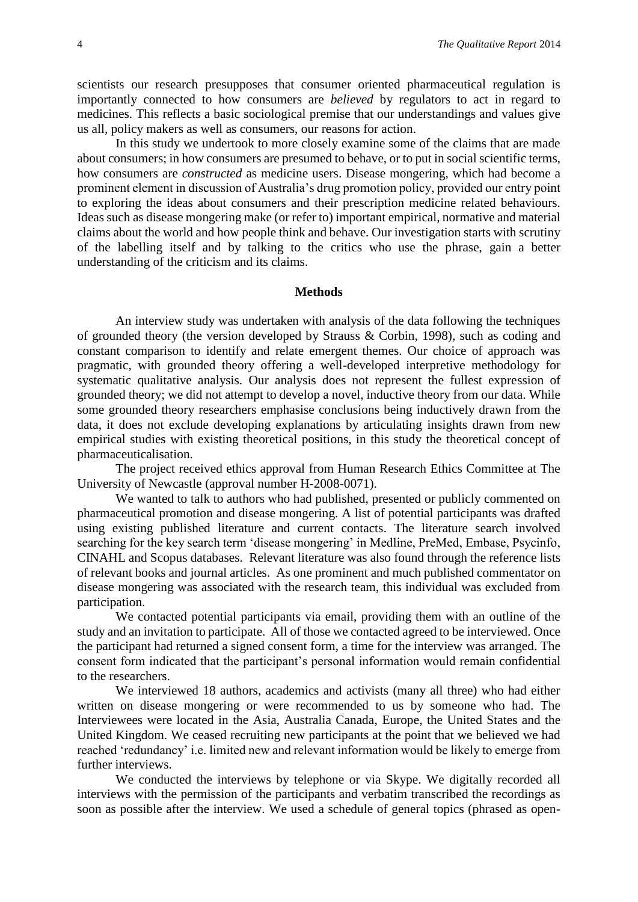scientists our research presupposes that consumer oriented pharmaceutical regulation is importantly connected to how consumers are *believed* by regulators to act in regard to medicines. This reflects a basic sociological premise that our understandings and values give us all, policy makers as well as consumers, our reasons for action.

In this study we undertook to more closely examine some of the claims that are made about consumers; in how consumers are presumed to behave, or to put in social scientific terms, how consumers are *constructed* as medicine users. Disease mongering, which had become a prominent element in discussion of Australia's drug promotion policy, provided our entry point to exploring the ideas about consumers and their prescription medicine related behaviours. Ideas such as disease mongering make (or refer to) important empirical, normative and material claims about the world and how people think and behave. Our investigation starts with scrutiny of the labelling itself and by talking to the critics who use the phrase, gain a better understanding of the criticism and its claims.

#### **Methods**

An interview study was undertaken with analysis of the data following the techniques of grounded theory (the version developed by Strauss & Corbin, 1998), such as coding and constant comparison to identify and relate emergent themes. Our choice of approach was pragmatic, with grounded theory offering a well-developed interpretive methodology for systematic qualitative analysis. Our analysis does not represent the fullest expression of grounded theory; we did not attempt to develop a novel, inductive theory from our data. While some grounded theory researchers emphasise conclusions being inductively drawn from the data, it does not exclude developing explanations by articulating insights drawn from new empirical studies with existing theoretical positions, in this study the theoretical concept of pharmaceuticalisation.

The project received ethics approval from Human Research Ethics Committee at The University of Newcastle (approval number H-2008-0071).

We wanted to talk to authors who had published, presented or publicly commented on pharmaceutical promotion and disease mongering. A list of potential participants was drafted using existing published literature and current contacts. The literature search involved searching for the key search term 'disease mongering' in Medline, PreMed, Embase, Psycinfo, CINAHL and Scopus databases. Relevant literature was also found through the reference lists of relevant books and journal articles. As one prominent and much published commentator on disease mongering was associated with the research team, this individual was excluded from participation.

We contacted potential participants via email, providing them with an outline of the study and an invitation to participate. All of those we contacted agreed to be interviewed. Once the participant had returned a signed consent form, a time for the interview was arranged. The consent form indicated that the participant's personal information would remain confidential to the researchers.

We interviewed 18 authors, academics and activists (many all three) who had either written on disease mongering or were recommended to us by someone who had. The Interviewees were located in the Asia, Australia Canada, Europe, the United States and the United Kingdom. We ceased recruiting new participants at the point that we believed we had reached 'redundancy' i.e. limited new and relevant information would be likely to emerge from further interviews.

We conducted the interviews by telephone or via Skype. We digitally recorded all interviews with the permission of the participants and verbatim transcribed the recordings as soon as possible after the interview. We used a schedule of general topics (phrased as open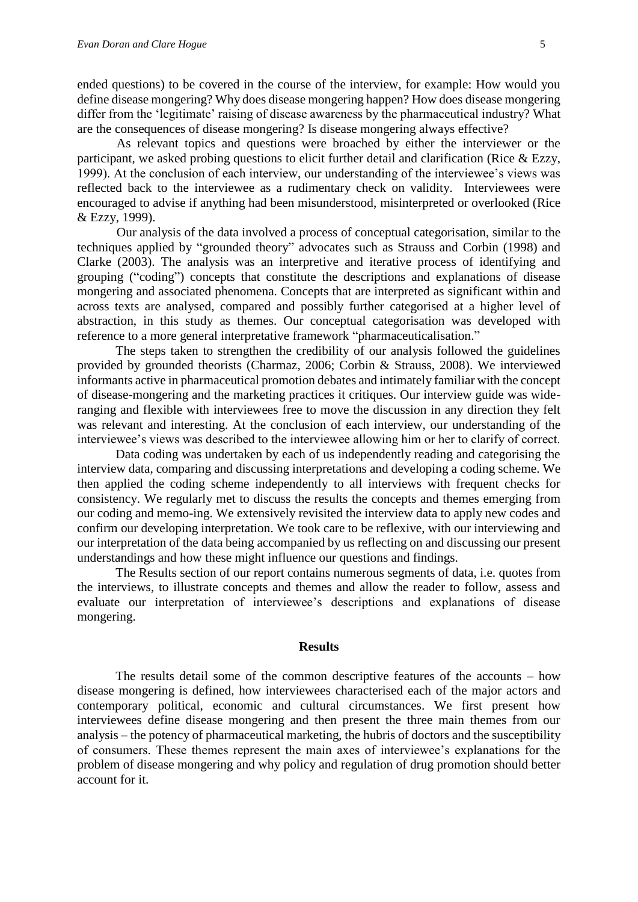ended questions) to be covered in the course of the interview, for example: How would you define disease mongering? Why does disease mongering happen? How does disease mongering differ from the 'legitimate' raising of disease awareness by the pharmaceutical industry? What are the consequences of disease mongering? Is disease mongering always effective?

As relevant topics and questions were broached by either the interviewer or the participant, we asked probing questions to elicit further detail and clarification (Rice & Ezzy, 1999). At the conclusion of each interview, our understanding of the interviewee's views was reflected back to the interviewee as a rudimentary check on validity. Interviewees were encouraged to advise if anything had been misunderstood, misinterpreted or overlooked (Rice & Ezzy, 1999).

Our analysis of the data involved a process of conceptual categorisation, similar to the techniques applied by "grounded theory" advocates such as Strauss and Corbin (1998) and Clarke (2003). The analysis was an interpretive and iterative process of identifying and grouping ("coding") concepts that constitute the descriptions and explanations of disease mongering and associated phenomena. Concepts that are interpreted as significant within and across texts are analysed, compared and possibly further categorised at a higher level of abstraction, in this study as themes. Our conceptual categorisation was developed with reference to a more general interpretative framework "pharmaceuticalisation."

The steps taken to strengthen the credibility of our analysis followed the guidelines provided by grounded theorists (Charmaz, 2006; Corbin & Strauss, 2008). We interviewed informants active in pharmaceutical promotion debates and intimately familiar with the concept of disease-mongering and the marketing practices it critiques. Our interview guide was wideranging and flexible with interviewees free to move the discussion in any direction they felt was relevant and interesting. At the conclusion of each interview, our understanding of the interviewee's views was described to the interviewee allowing him or her to clarify of correct.

Data coding was undertaken by each of us independently reading and categorising the interview data, comparing and discussing interpretations and developing a coding scheme. We then applied the coding scheme independently to all interviews with frequent checks for consistency. We regularly met to discuss the results the concepts and themes emerging from our coding and memo-ing. We extensively revisited the interview data to apply new codes and confirm our developing interpretation. We took care to be reflexive, with our interviewing and our interpretation of the data being accompanied by us reflecting on and discussing our present understandings and how these might influence our questions and findings.

The Results section of our report contains numerous segments of data, i.e. quotes from the interviews, to illustrate concepts and themes and allow the reader to follow, assess and evaluate our interpretation of interviewee's descriptions and explanations of disease mongering.

#### **Results**

The results detail some of the common descriptive features of the accounts – how disease mongering is defined, how interviewees characterised each of the major actors and contemporary political, economic and cultural circumstances. We first present how interviewees define disease mongering and then present the three main themes from our analysis – the potency of pharmaceutical marketing, the hubris of doctors and the susceptibility of consumers. These themes represent the main axes of interviewee's explanations for the problem of disease mongering and why policy and regulation of drug promotion should better account for it.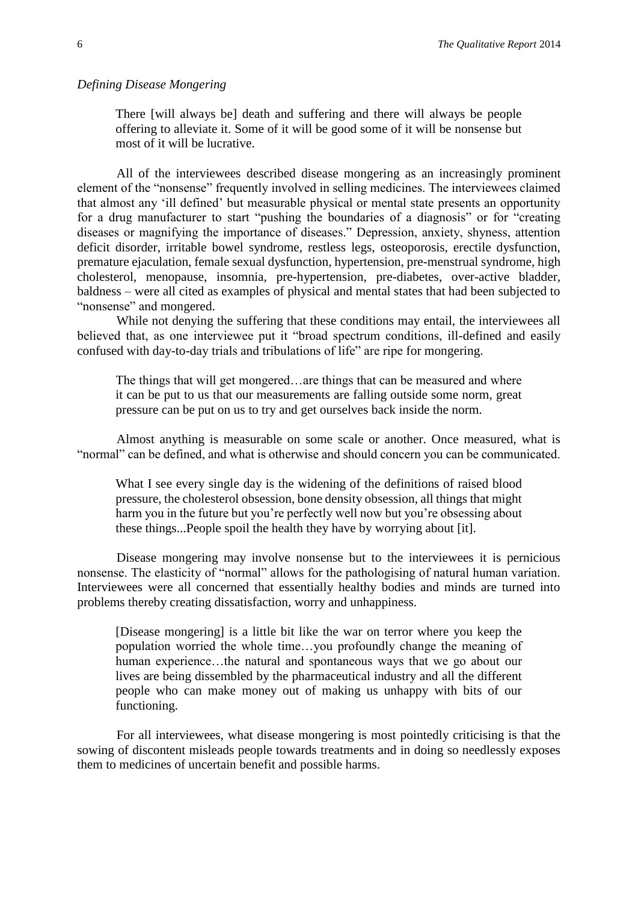#### *Defining Disease Mongering*

There [will always be] death and suffering and there will always be people offering to alleviate it. Some of it will be good some of it will be nonsense but most of it will be lucrative.

All of the interviewees described disease mongering as an increasingly prominent element of the "nonsense" frequently involved in selling medicines. The interviewees claimed that almost any 'ill defined' but measurable physical or mental state presents an opportunity for a drug manufacturer to start "pushing the boundaries of a diagnosis" or for "creating diseases or magnifying the importance of diseases." Depression, anxiety, shyness, attention deficit disorder, irritable bowel syndrome, restless legs, osteoporosis, erectile dysfunction, premature ejaculation, female sexual dysfunction, hypertension, pre-menstrual syndrome, high cholesterol, menopause, insomnia, pre-hypertension, pre-diabetes, over-active bladder, baldness – were all cited as examples of physical and mental states that had been subjected to "nonsense" and mongered.

While not denying the suffering that these conditions may entail, the interviewees all believed that, as one interviewee put it "broad spectrum conditions, ill-defined and easily confused with day-to-day trials and tribulations of life" are ripe for mongering.

The things that will get mongered…are things that can be measured and where it can be put to us that our measurements are falling outside some norm, great pressure can be put on us to try and get ourselves back inside the norm.

Almost anything is measurable on some scale or another. Once measured, what is "normal" can be defined, and what is otherwise and should concern you can be communicated.

What I see every single day is the widening of the definitions of raised blood pressure, the cholesterol obsession, bone density obsession, all things that might harm you in the future but you're perfectly well now but you're obsessing about these things...People spoil the health they have by worrying about [it].

Disease mongering may involve nonsense but to the interviewees it is pernicious nonsense. The elasticity of "normal" allows for the pathologising of natural human variation. Interviewees were all concerned that essentially healthy bodies and minds are turned into problems thereby creating dissatisfaction, worry and unhappiness.

[Disease mongering] is a little bit like the war on terror where you keep the population worried the whole time…you profoundly change the meaning of human experience…the natural and spontaneous ways that we go about our lives are being dissembled by the pharmaceutical industry and all the different people who can make money out of making us unhappy with bits of our functioning.

For all interviewees, what disease mongering is most pointedly criticising is that the sowing of discontent misleads people towards treatments and in doing so needlessly exposes them to medicines of uncertain benefit and possible harms.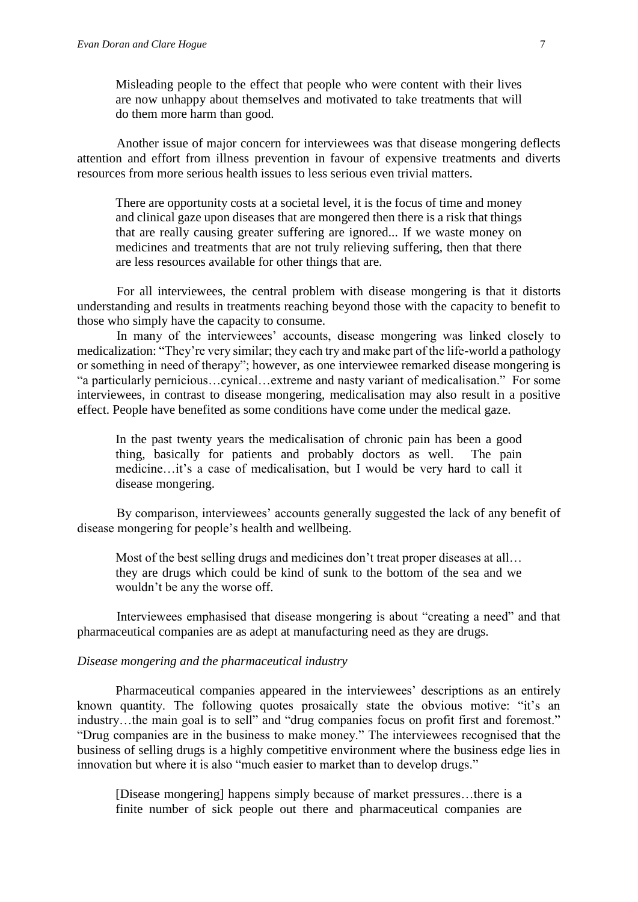Misleading people to the effect that people who were content with their lives are now unhappy about themselves and motivated to take treatments that will do them more harm than good.

Another issue of major concern for interviewees was that disease mongering deflects attention and effort from illness prevention in favour of expensive treatments and diverts resources from more serious health issues to less serious even trivial matters.

There are opportunity costs at a societal level, it is the focus of time and money and clinical gaze upon diseases that are mongered then there is a risk that things that are really causing greater suffering are ignored... If we waste money on medicines and treatments that are not truly relieving suffering, then that there are less resources available for other things that are.

For all interviewees, the central problem with disease mongering is that it distorts understanding and results in treatments reaching beyond those with the capacity to benefit to those who simply have the capacity to consume.

In many of the interviewees' accounts, disease mongering was linked closely to medicalization: "They're very similar; they each try and make part of the life-world a pathology or something in need of therapy"; however, as one interviewee remarked disease mongering is "a particularly pernicious…cynical…extreme and nasty variant of medicalisation." For some interviewees, in contrast to disease mongering, medicalisation may also result in a positive effect. People have benefited as some conditions have come under the medical gaze.

In the past twenty years the medicalisation of chronic pain has been a good thing, basically for patients and probably doctors as well. The pain medicine…it's a case of medicalisation, but I would be very hard to call it disease mongering.

By comparison, interviewees' accounts generally suggested the lack of any benefit of disease mongering for people's health and wellbeing.

Most of the best selling drugs and medicines don't treat proper diseases at all… they are drugs which could be kind of sunk to the bottom of the sea and we wouldn't be any the worse off.

Interviewees emphasised that disease mongering is about "creating a need" and that pharmaceutical companies are as adept at manufacturing need as they are drugs.

# *Disease mongering and the pharmaceutical industry*

Pharmaceutical companies appeared in the interviewees' descriptions as an entirely known quantity. The following quotes prosaically state the obvious motive: "it's an industry…the main goal is to sell" and "drug companies focus on profit first and foremost." "Drug companies are in the business to make money." The interviewees recognised that the business of selling drugs is a highly competitive environment where the business edge lies in innovation but where it is also "much easier to market than to develop drugs."

[Disease mongering] happens simply because of market pressures…there is a finite number of sick people out there and pharmaceutical companies are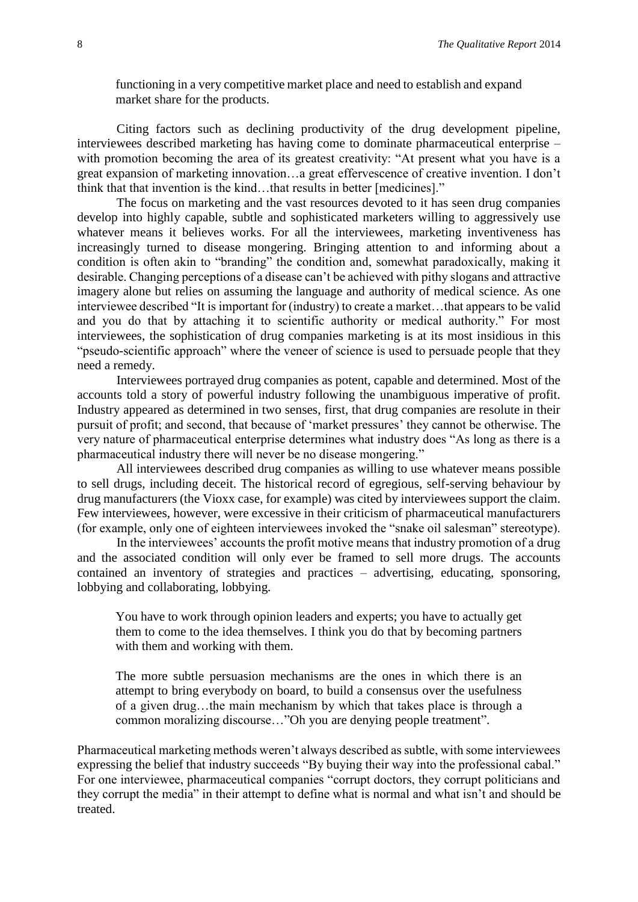functioning in a very competitive market place and need to establish and expand market share for the products.

Citing factors such as declining productivity of the drug development pipeline, interviewees described marketing has having come to dominate pharmaceutical enterprise – with promotion becoming the area of its greatest creativity: "At present what you have is a great expansion of marketing innovation…a great effervescence of creative invention. I don't think that that invention is the kind…that results in better [medicines]."

The focus on marketing and the vast resources devoted to it has seen drug companies develop into highly capable, subtle and sophisticated marketers willing to aggressively use whatever means it believes works. For all the interviewees, marketing inventiveness has increasingly turned to disease mongering. Bringing attention to and informing about a condition is often akin to "branding" the condition and, somewhat paradoxically, making it desirable. Changing perceptions of a disease can't be achieved with pithy slogans and attractive imagery alone but relies on assuming the language and authority of medical science. As one interviewee described "It is important for (industry) to create a market…that appears to be valid and you do that by attaching it to scientific authority or medical authority." For most interviewees, the sophistication of drug companies marketing is at its most insidious in this "pseudo-scientific approach" where the veneer of science is used to persuade people that they need a remedy.

Interviewees portrayed drug companies as potent, capable and determined. Most of the accounts told a story of powerful industry following the unambiguous imperative of profit. Industry appeared as determined in two senses, first, that drug companies are resolute in their pursuit of profit; and second, that because of 'market pressures' they cannot be otherwise. The very nature of pharmaceutical enterprise determines what industry does "As long as there is a pharmaceutical industry there will never be no disease mongering."

All interviewees described drug companies as willing to use whatever means possible to sell drugs, including deceit. The historical record of egregious, self-serving behaviour by drug manufacturers (the Vioxx case, for example) was cited by interviewees support the claim. Few interviewees, however, were excessive in their criticism of pharmaceutical manufacturers (for example, only one of eighteen interviewees invoked the "snake oil salesman" stereotype).

In the interviewees' accounts the profit motive means that industry promotion of a drug and the associated condition will only ever be framed to sell more drugs. The accounts contained an inventory of strategies and practices – advertising, educating, sponsoring, lobbying and collaborating, lobbying.

You have to work through opinion leaders and experts; you have to actually get them to come to the idea themselves. I think you do that by becoming partners with them and working with them.

The more subtle persuasion mechanisms are the ones in which there is an attempt to bring everybody on board, to build a consensus over the usefulness of a given drug…the main mechanism by which that takes place is through a common moralizing discourse…"Oh you are denying people treatment".

Pharmaceutical marketing methods weren't always described as subtle, with some interviewees expressing the belief that industry succeeds "By buying their way into the professional cabal." For one interviewee, pharmaceutical companies "corrupt doctors, they corrupt politicians and they corrupt the media" in their attempt to define what is normal and what isn't and should be treated.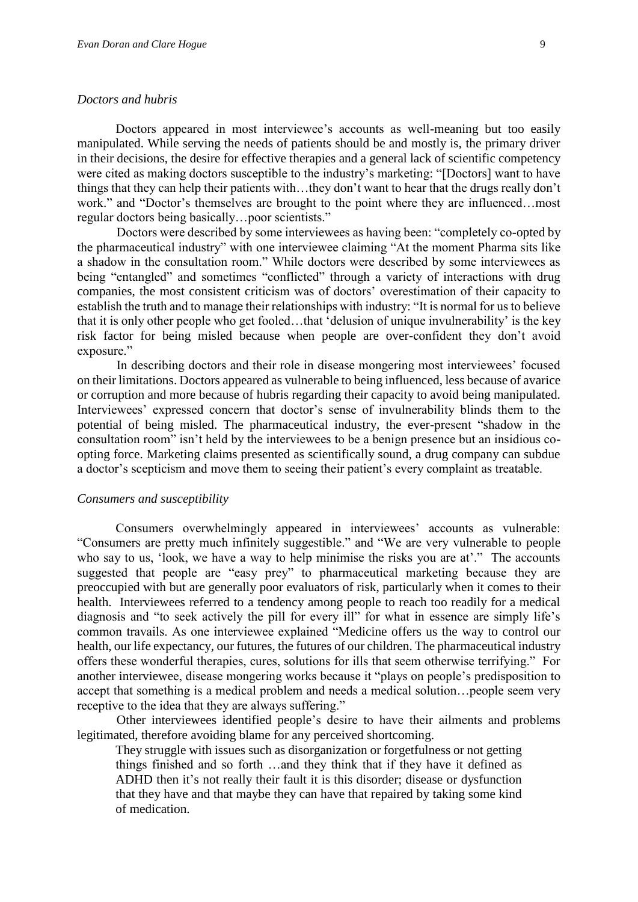#### *Doctors and hubris*

Doctors appeared in most interviewee's accounts as well-meaning but too easily manipulated. While serving the needs of patients should be and mostly is, the primary driver in their decisions, the desire for effective therapies and a general lack of scientific competency were cited as making doctors susceptible to the industry's marketing: "[Doctors] want to have things that they can help their patients with…they don't want to hear that the drugs really don't work." and "Doctor's themselves are brought to the point where they are influenced…most regular doctors being basically…poor scientists."

Doctors were described by some interviewees as having been: "completely co-opted by the pharmaceutical industry" with one interviewee claiming "At the moment Pharma sits like a shadow in the consultation room." While doctors were described by some interviewees as being "entangled" and sometimes "conflicted" through a variety of interactions with drug companies, the most consistent criticism was of doctors' overestimation of their capacity to establish the truth and to manage their relationships with industry: "It is normal for us to believe that it is only other people who get fooled…that 'delusion of unique invulnerability' is the key risk factor for being misled because when people are over-confident they don't avoid exposure."

In describing doctors and their role in disease mongering most interviewees' focused on their limitations. Doctors appeared as vulnerable to being influenced, less because of avarice or corruption and more because of hubris regarding their capacity to avoid being manipulated. Interviewees' expressed concern that doctor's sense of invulnerability blinds them to the potential of being misled. The pharmaceutical industry, the ever-present "shadow in the consultation room" isn't held by the interviewees to be a benign presence but an insidious coopting force. Marketing claims presented as scientifically sound, a drug company can subdue a doctor's scepticism and move them to seeing their patient's every complaint as treatable.

#### *Consumers and susceptibility*

Consumers overwhelmingly appeared in interviewees' accounts as vulnerable: "Consumers are pretty much infinitely suggestible." and "We are very vulnerable to people who say to us, 'look, we have a way to help minimise the risks you are at'." The accounts suggested that people are "easy prey" to pharmaceutical marketing because they are preoccupied with but are generally poor evaluators of risk, particularly when it comes to their health. Interviewees referred to a tendency among people to reach too readily for a medical diagnosis and "to seek actively the pill for every ill" for what in essence are simply life's common travails. As one interviewee explained "Medicine offers us the way to control our health, our life expectancy, our futures, the futures of our children. The pharmaceutical industry offers these wonderful therapies, cures, solutions for ills that seem otherwise terrifying." For another interviewee, disease mongering works because it "plays on people's predisposition to accept that something is a medical problem and needs a medical solution…people seem very receptive to the idea that they are always suffering."

Other interviewees identified people's desire to have their ailments and problems legitimated, therefore avoiding blame for any perceived shortcoming.

They struggle with issues such as disorganization or forgetfulness or not getting things finished and so forth …and they think that if they have it defined as ADHD then it's not really their fault it is this disorder; disease or dysfunction that they have and that maybe they can have that repaired by taking some kind of medication.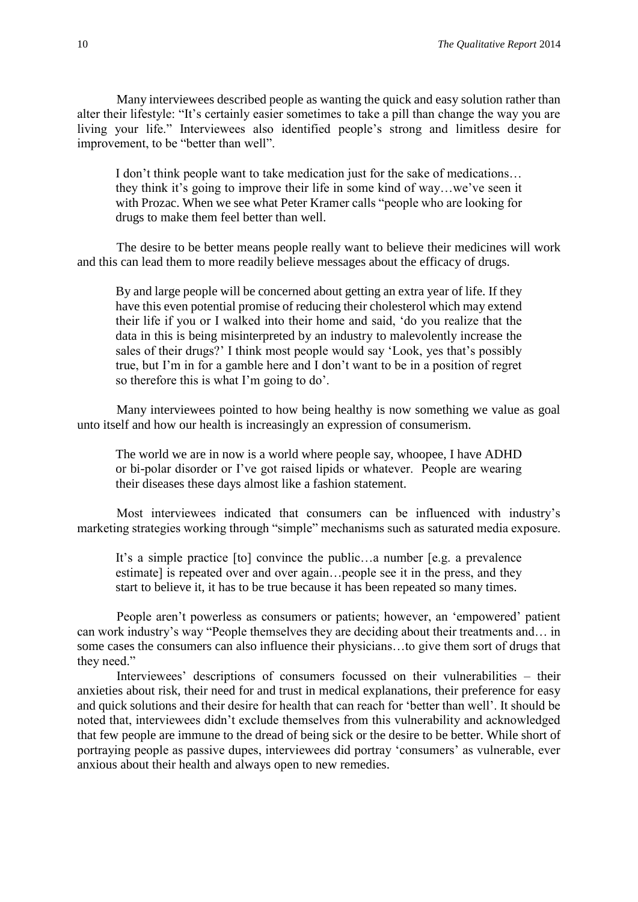Many interviewees described people as wanting the quick and easy solution rather than alter their lifestyle: "It's certainly easier sometimes to take a pill than change the way you are living your life." Interviewees also identified people's strong and limitless desire for improvement, to be "better than well".

I don't think people want to take medication just for the sake of medications… they think it's going to improve their life in some kind of way…we've seen it with Prozac. When we see what Peter Kramer calls "people who are looking for drugs to make them feel better than well.

The desire to be better means people really want to believe their medicines will work and this can lead them to more readily believe messages about the efficacy of drugs.

By and large people will be concerned about getting an extra year of life. If they have this even potential promise of reducing their cholesterol which may extend their life if you or I walked into their home and said, 'do you realize that the data in this is being misinterpreted by an industry to malevolently increase the sales of their drugs?' I think most people would say 'Look, yes that's possibly true, but I'm in for a gamble here and I don't want to be in a position of regret so therefore this is what I'm going to do'.

Many interviewees pointed to how being healthy is now something we value as goal unto itself and how our health is increasingly an expression of consumerism.

The world we are in now is a world where people say, whoopee, I have ADHD or bi-polar disorder or I've got raised lipids or whatever. People are wearing their diseases these days almost like a fashion statement.

Most interviewees indicated that consumers can be influenced with industry's marketing strategies working through "simple" mechanisms such as saturated media exposure.

It's a simple practice [to] convince the public…a number [e.g. a prevalence estimate] is repeated over and over again…people see it in the press, and they start to believe it, it has to be true because it has been repeated so many times.

People aren't powerless as consumers or patients; however, an 'empowered' patient can work industry's way "People themselves they are deciding about their treatments and… in some cases the consumers can also influence their physicians…to give them sort of drugs that they need."

Interviewees' descriptions of consumers focussed on their vulnerabilities – their anxieties about risk, their need for and trust in medical explanations, their preference for easy and quick solutions and their desire for health that can reach for 'better than well'. It should be noted that, interviewees didn't exclude themselves from this vulnerability and acknowledged that few people are immune to the dread of being sick or the desire to be better. While short of portraying people as passive dupes, interviewees did portray 'consumers' as vulnerable, ever anxious about their health and always open to new remedies.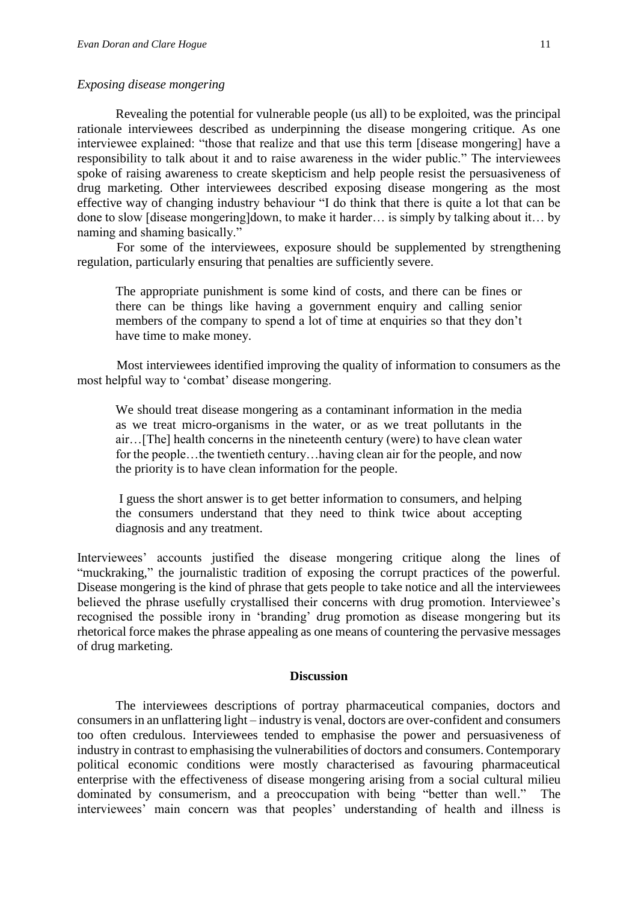#### *Exposing disease mongering*

Revealing the potential for vulnerable people (us all) to be exploited, was the principal rationale interviewees described as underpinning the disease mongering critique. As one interviewee explained: "those that realize and that use this term [disease mongering] have a responsibility to talk about it and to raise awareness in the wider public." The interviewees spoke of raising awareness to create skepticism and help people resist the persuasiveness of drug marketing. Other interviewees described exposing disease mongering as the most effective way of changing industry behaviour "I do think that there is quite a lot that can be done to slow [disease mongering]down, to make it harder… is simply by talking about it… by naming and shaming basically."

For some of the interviewees, exposure should be supplemented by strengthening regulation, particularly ensuring that penalties are sufficiently severe.

The appropriate punishment is some kind of costs, and there can be fines or there can be things like having a government enquiry and calling senior members of the company to spend a lot of time at enquiries so that they don't have time to make money.

Most interviewees identified improving the quality of information to consumers as the most helpful way to 'combat' disease mongering.

We should treat disease mongering as a contaminant information in the media as we treat micro-organisms in the water, or as we treat pollutants in the air…[The] health concerns in the nineteenth century (were) to have clean water for the people…the twentieth century…having clean air for the people, and now the priority is to have clean information for the people.

I guess the short answer is to get better information to consumers, and helping the consumers understand that they need to think twice about accepting diagnosis and any treatment.

Interviewees' accounts justified the disease mongering critique along the lines of "muckraking," the journalistic tradition of exposing the corrupt practices of the powerful. Disease mongering is the kind of phrase that gets people to take notice and all the interviewees believed the phrase usefully crystallised their concerns with drug promotion. Interviewee's recognised the possible irony in 'branding' drug promotion as disease mongering but its rhetorical force makes the phrase appealing as one means of countering the pervasive messages of drug marketing.

#### **Discussion**

The interviewees descriptions of portray pharmaceutical companies, doctors and consumers in an unflattering light – industry is venal, doctors are over-confident and consumers too often credulous. Interviewees tended to emphasise the power and persuasiveness of industry in contrast to emphasising the vulnerabilities of doctors and consumers. Contemporary political economic conditions were mostly characterised as favouring pharmaceutical enterprise with the effectiveness of disease mongering arising from a social cultural milieu dominated by consumerism, and a preoccupation with being "better than well." The interviewees' main concern was that peoples' understanding of health and illness is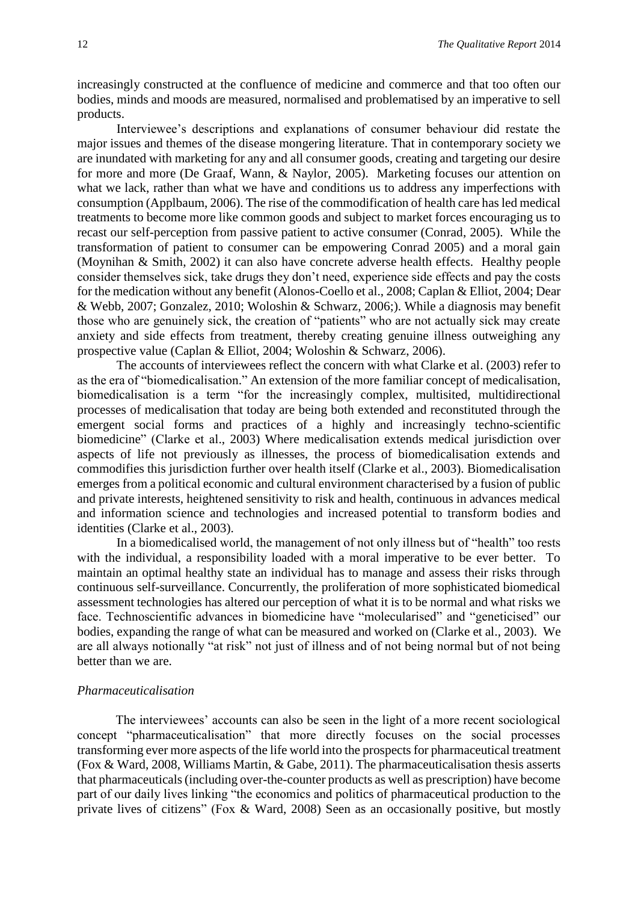increasingly constructed at the confluence of medicine and commerce and that too often our bodies, minds and moods are measured, normalised and problematised by an imperative to sell products.

Interviewee's descriptions and explanations of consumer behaviour did restate the major issues and themes of the disease mongering literature. That in contemporary society we are inundated with marketing for any and all consumer goods, creating and targeting our desire for more and more (De Graaf, Wann, & Naylor, 2005). Marketing focuses our attention on what we lack, rather than what we have and conditions us to address any imperfections with consumption (Applbaum, 2006). The rise of the commodification of health care has led medical treatments to become more like common goods and subject to market forces encouraging us to recast our self-perception from passive patient to active consumer (Conrad, 2005). While the transformation of patient to consumer can be empowering Conrad 2005) and a moral gain (Moynihan & Smith, 2002) it can also have concrete adverse health effects. Healthy people consider themselves sick, take drugs they don't need, experience side effects and pay the costs for the medication without any benefit (Alonos-Coello et al., 2008; Caplan & Elliot, 2004; Dear & Webb, 2007; Gonzalez, 2010; Woloshin & Schwarz, 2006;). While a diagnosis may benefit those who are genuinely sick, the creation of "patients" who are not actually sick may create anxiety and side effects from treatment, thereby creating genuine illness outweighing any prospective value (Caplan & Elliot, 2004; Woloshin & Schwarz, 2006).

The accounts of interviewees reflect the concern with what Clarke et al. (2003) refer to as the era of "biomedicalisation." An extension of the more familiar concept of medicalisation, biomedicalisation is a term "for the increasingly complex, multisited, multidirectional processes of medicalisation that today are being both extended and reconstituted through the emergent social forms and practices of a highly and increasingly techno-scientific biomedicine" (Clarke et al., 2003) Where medicalisation extends medical jurisdiction over aspects of life not previously as illnesses, the process of biomedicalisation extends and commodifies this jurisdiction further over health itself (Clarke et al., 2003). Biomedicalisation emerges from a political economic and cultural environment characterised by a fusion of public and private interests, heightened sensitivity to risk and health, continuous in advances medical and information science and technologies and increased potential to transform bodies and identities (Clarke et al., 2003).

In a biomedicalised world, the management of not only illness but of "health" too rests with the individual, a responsibility loaded with a moral imperative to be ever better. To maintain an optimal healthy state an individual has to manage and assess their risks through continuous self-surveillance. Concurrently, the proliferation of more sophisticated biomedical assessment technologies has altered our perception of what it is to be normal and what risks we face. Technoscientific advances in biomedicine have "molecularised" and "geneticised" our bodies, expanding the range of what can be measured and worked on (Clarke et al., 2003). We are all always notionally "at risk" not just of illness and of not being normal but of not being better than we are.

## *Pharmaceuticalisation*

The interviewees' accounts can also be seen in the light of a more recent sociological concept "pharmaceuticalisation" that more directly focuses on the social processes transforming ever more aspects of the life world into the prospects for pharmaceutical treatment (Fox & Ward, 2008, Williams Martin, & Gabe, 2011). The pharmaceuticalisation thesis asserts that pharmaceuticals (including over-the-counter products as well as prescription) have become part of our daily lives linking "the economics and politics of pharmaceutical production to the private lives of citizens" (Fox & Ward, 2008) Seen as an occasionally positive, but mostly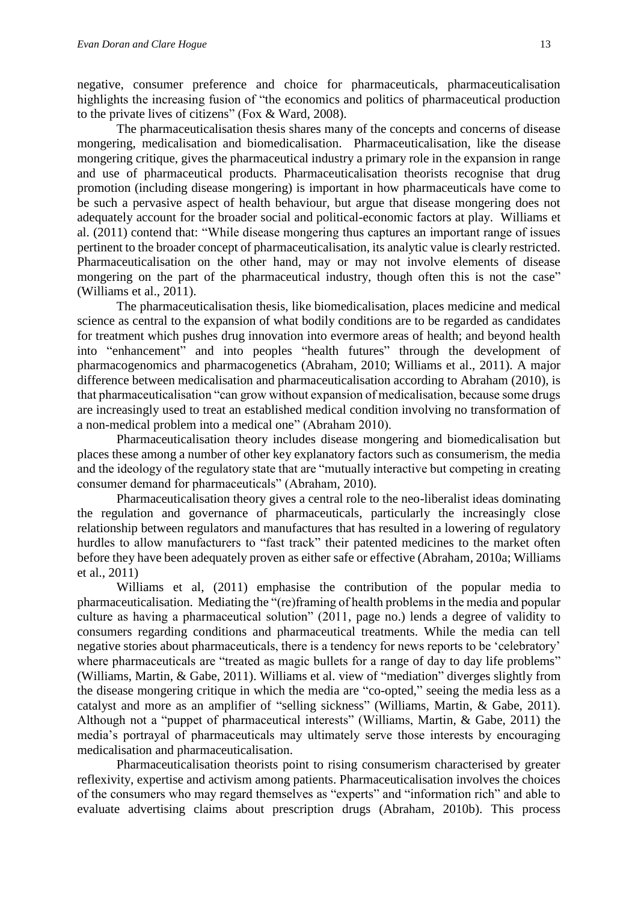negative, consumer preference and choice for pharmaceuticals, pharmaceuticalisation highlights the increasing fusion of "the economics and politics of pharmaceutical production to the private lives of citizens" (Fox & Ward, 2008).

The pharmaceuticalisation thesis shares many of the concepts and concerns of disease mongering, medicalisation and biomedicalisation. Pharmaceuticalisation, like the disease mongering critique, gives the pharmaceutical industry a primary role in the expansion in range and use of pharmaceutical products. Pharmaceuticalisation theorists recognise that drug promotion (including disease mongering) is important in how pharmaceuticals have come to be such a pervasive aspect of health behaviour, but argue that disease mongering does not adequately account for the broader social and political-economic factors at play. Williams et al. (2011) contend that: "While disease mongering thus captures an important range of issues pertinent to the broader concept of pharmaceuticalisation, its analytic value is clearly restricted. Pharmaceuticalisation on the other hand, may or may not involve elements of disease mongering on the part of the pharmaceutical industry, though often this is not the case" (Williams et al., 2011).

The pharmaceuticalisation thesis, like biomedicalisation, places medicine and medical science as central to the expansion of what bodily conditions are to be regarded as candidates for treatment which pushes drug innovation into evermore areas of health; and beyond health into "enhancement" and into peoples "health futures" through the development of pharmacogenomics and pharmacogenetics (Abraham, 2010; Williams et al., 2011). A major difference between medicalisation and pharmaceuticalisation according to Abraham (2010), is that pharmaceuticalisation "can grow without expansion of medicalisation, because some drugs are increasingly used to treat an established medical condition involving no transformation of a non-medical problem into a medical one" (Abraham 2010).

Pharmaceuticalisation theory includes disease mongering and biomedicalisation but places these among a number of other key explanatory factors such as consumerism, the media and the ideology of the regulatory state that are "mutually interactive but competing in creating consumer demand for pharmaceuticals" (Abraham, 2010).

Pharmaceuticalisation theory gives a central role to the neo-liberalist ideas dominating the regulation and governance of pharmaceuticals, particularly the increasingly close relationship between regulators and manufactures that has resulted in a lowering of regulatory hurdles to allow manufacturers to "fast track" their patented medicines to the market often before they have been adequately proven as either safe or effective (Abraham, 2010a; Williams et al., 2011)

Williams et al, (2011) emphasise the contribution of the popular media to pharmaceuticalisation. Mediating the "(re)framing of health problems in the media and popular culture as having a pharmaceutical solution" (2011, page no.) lends a degree of validity to consumers regarding conditions and pharmaceutical treatments. While the media can tell negative stories about pharmaceuticals, there is a tendency for news reports to be 'celebratory' where pharmaceuticals are "treated as magic bullets for a range of day to day life problems" (Williams, Martin, & Gabe, 2011). Williams et al. view of "mediation" diverges slightly from the disease mongering critique in which the media are "co-opted," seeing the media less as a catalyst and more as an amplifier of "selling sickness" (Williams, Martin, & Gabe, 2011). Although not a "puppet of pharmaceutical interests" (Williams, Martin, & Gabe, 2011) the media's portrayal of pharmaceuticals may ultimately serve those interests by encouraging medicalisation and pharmaceuticalisation.

Pharmaceuticalisation theorists point to rising consumerism characterised by greater reflexivity, expertise and activism among patients. Pharmaceuticalisation involves the choices of the consumers who may regard themselves as "experts" and "information rich" and able to evaluate advertising claims about prescription drugs (Abraham, 2010b). This process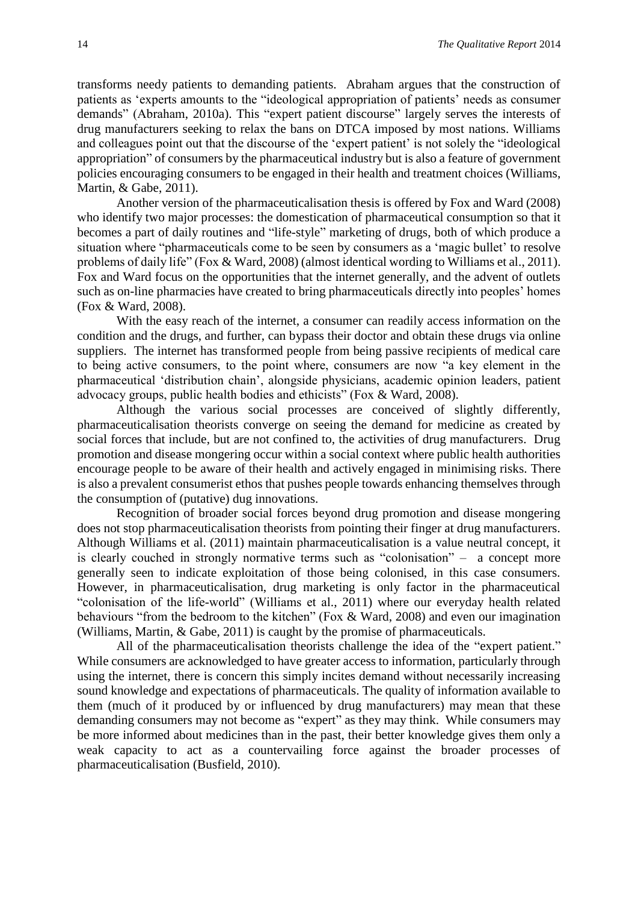transforms needy patients to demanding patients. Abraham argues that the construction of patients as 'experts amounts to the "ideological appropriation of patients' needs as consumer demands" (Abraham, 2010a). This "expert patient discourse" largely serves the interests of drug manufacturers seeking to relax the bans on DTCA imposed by most nations. Williams and colleagues point out that the discourse of the 'expert patient' is not solely the "ideological appropriation" of consumers by the pharmaceutical industry but is also a feature of government policies encouraging consumers to be engaged in their health and treatment choices (Williams, Martin, & Gabe, 2011).

Another version of the pharmaceuticalisation thesis is offered by Fox and Ward (2008) who identify two major processes: the domestication of pharmaceutical consumption so that it becomes a part of daily routines and "life-style" marketing of drugs, both of which produce a situation where "pharmaceuticals come to be seen by consumers as a 'magic bullet' to resolve problems of daily life" (Fox & Ward, 2008) (almost identical wording to Williams et al., 2011). Fox and Ward focus on the opportunities that the internet generally, and the advent of outlets such as on-line pharmacies have created to bring pharmaceuticals directly into peoples' homes (Fox & Ward, 2008).

With the easy reach of the internet, a consumer can readily access information on the condition and the drugs, and further, can bypass their doctor and obtain these drugs via online suppliers. The internet has transformed people from being passive recipients of medical care to being active consumers, to the point where, consumers are now "a key element in the pharmaceutical 'distribution chain', alongside physicians, academic opinion leaders, patient advocacy groups, public health bodies and ethicists" (Fox & Ward, 2008).

Although the various social processes are conceived of slightly differently, pharmaceuticalisation theorists converge on seeing the demand for medicine as created by social forces that include, but are not confined to, the activities of drug manufacturers. Drug promotion and disease mongering occur within a social context where public health authorities encourage people to be aware of their health and actively engaged in minimising risks. There is also a prevalent consumerist ethos that pushes people towards enhancing themselves through the consumption of (putative) dug innovations.

Recognition of broader social forces beyond drug promotion and disease mongering does not stop pharmaceuticalisation theorists from pointing their finger at drug manufacturers. Although Williams et al. (2011) maintain pharmaceuticalisation is a value neutral concept, it is clearly couched in strongly normative terms such as "colonisation" – a concept more generally seen to indicate exploitation of those being colonised, in this case consumers. However, in pharmaceuticalisation, drug marketing is only factor in the pharmaceutical "colonisation of the life-world" (Williams et al., 2011) where our everyday health related behaviours "from the bedroom to the kitchen" (Fox & Ward, 2008) and even our imagination (Williams, Martin, & Gabe, 2011) is caught by the promise of pharmaceuticals.

All of the pharmaceuticalisation theorists challenge the idea of the "expert patient." While consumers are acknowledged to have greater access to information, particularly through using the internet, there is concern this simply incites demand without necessarily increasing sound knowledge and expectations of pharmaceuticals. The quality of information available to them (much of it produced by or influenced by drug manufacturers) may mean that these demanding consumers may not become as "expert" as they may think. While consumers may be more informed about medicines than in the past, their better knowledge gives them only a weak capacity to act as a countervailing force against the broader processes of pharmaceuticalisation (Busfield, 2010).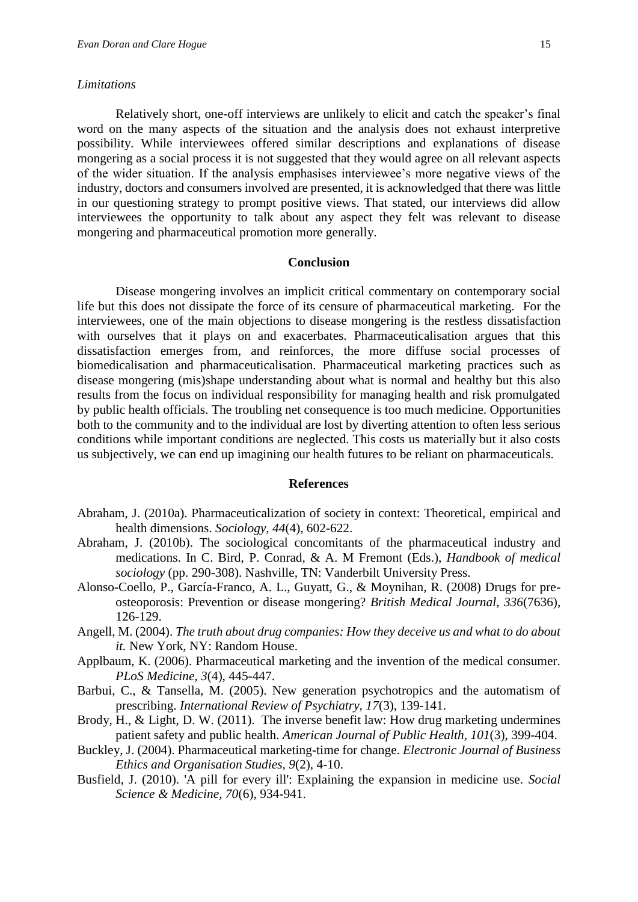#### *Limitations*

Relatively short, one-off interviews are unlikely to elicit and catch the speaker's final word on the many aspects of the situation and the analysis does not exhaust interpretive possibility. While interviewees offered similar descriptions and explanations of disease mongering as a social process it is not suggested that they would agree on all relevant aspects of the wider situation. If the analysis emphasises interviewee's more negative views of the industry, doctors and consumers involved are presented, it is acknowledged that there was little in our questioning strategy to prompt positive views. That stated, our interviews did allow interviewees the opportunity to talk about any aspect they felt was relevant to disease mongering and pharmaceutical promotion more generally.

#### **Conclusion**

Disease mongering involves an implicit critical commentary on contemporary social life but this does not dissipate the force of its censure of pharmaceutical marketing. For the interviewees, one of the main objections to disease mongering is the restless dissatisfaction with ourselves that it plays on and exacerbates. Pharmaceuticalisation argues that this dissatisfaction emerges from, and reinforces, the more diffuse social processes of biomedicalisation and pharmaceuticalisation. Pharmaceutical marketing practices such as disease mongering (mis)shape understanding about what is normal and healthy but this also results from the focus on individual responsibility for managing health and risk promulgated by public health officials. The troubling net consequence is too much medicine. Opportunities both to the community and to the individual are lost by diverting attention to often less serious conditions while important conditions are neglected. This costs us materially but it also costs us subjectively, we can end up imagining our health futures to be reliant on pharmaceuticals.

#### **References**

- Abraham, J. (2010a). Pharmaceuticalization of society in context: Theoretical, empirical and health dimensions. *Sociology, 44*(4), 602-622.
- Abraham, J. (2010b). The sociological concomitants of the pharmaceutical industry and medications. In C. Bird, P. Conrad, & A. M Fremont (Eds.), *Handbook of medical sociology* (pp. 290-308). Nashville, TN: Vanderbilt University Press.
- Alonso-Coello, P., García-Franco, A. L., Guyatt, G., & Moynihan, R. (2008) Drugs for preosteoporosis: Prevention or disease mongering? *British Medical Journal*, *336*(7636), 126-129.
- Angell, M. (2004). *The truth about drug companies: How they deceive us and what to do about it.* New York, NY: Random House.
- Applbaum, K. (2006). Pharmaceutical marketing and the invention of the medical consumer. *PLoS Medicine, 3*(4), 445-447.
- Barbui, C., & Tansella, M. (2005). New generation psychotropics and the automatism of prescribing. *International Review of Psychiatry, 17*(3), 139-141.
- Brody, H., & Light, D. W. (2011). The inverse benefit law: How drug marketing undermines patient safety and public health. *American Journal of Public Health, 101*(3), 399-404.
- Buckley, J. (2004). Pharmaceutical marketing-time for change. *Electronic Journal of Business Ethics and Organisation Studies, 9*(2), 4-10.
- Busfield, J. (2010). 'A pill for every ill': Explaining the expansion in medicine use. *Social Science & Medicine, 70*(6), 934-941.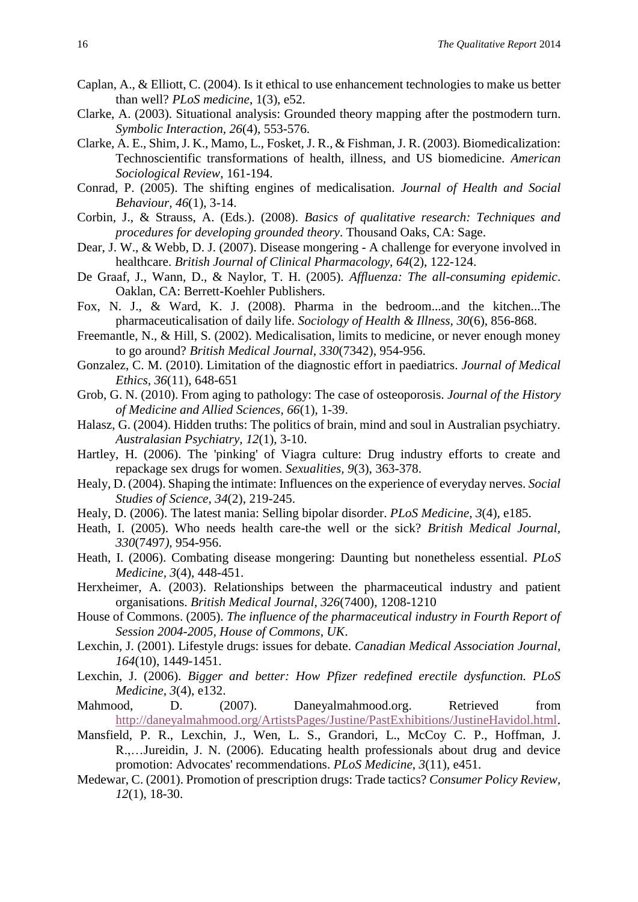- Caplan, A., & Elliott, C. (2004). Is it ethical to use enhancement technologies to make us better than well? *PLoS medicine*, 1(3), e52.
- Clarke, A. (2003). Situational analysis: Grounded theory mapping after the postmodern turn. *Symbolic Interaction, 26*(4), 553-576.
- Clarke, A. E., Shim, J. K., Mamo, L., Fosket, J. R., & Fishman, J. R. (2003). Biomedicalization: Technoscientific transformations of health, illness, and US biomedicine. *American Sociological Review*, 161-194.
- Conrad, P. (2005). The shifting engines of medicalisation. *Journal of Health and Social Behaviour, 46*(1), 3-14.
- Corbin, J., & Strauss, A. (Eds.). (2008). *Basics of qualitative research: Techniques and procedures for developing grounded theory*. Thousand Oaks, CA: Sage.
- Dear, J. W., & Webb, D. J. (2007). Disease mongering A challenge for everyone involved in healthcare. *British Journal of Clinical Pharmacology, 64*(2), 122-124.
- De Graaf, J., Wann, D., & Naylor, T. H. (2005). *Affluenza: The all-consuming epidemic*. Oaklan, CA: Berrett-Koehler Publishers.
- Fox, N. J., & Ward, K. J. (2008). Pharma in the bedroom...and the kitchen...The pharmaceuticalisation of daily life. *Sociology of Health & Illness, 30*(6), 856-868.
- Freemantle, N., & Hill, S. (2002). Medicalisation, limits to medicine, or never enough money to go around? *British Medical Journal, 330*(7342), 954-956.
- Gonzalez, C. M. (2010). Limitation of the diagnostic effort in paediatrics. *Journal of Medical Ethics, 36*(11), 648-651
- Grob, G. N. (2010). From aging to pathology: The case of osteoporosis. *Journal of the History of Medicine and Allied Sciences, 66*(1), 1-39.
- Halasz, G. (2004). Hidden truths: The politics of brain, mind and soul in Australian psychiatry. *Australasian Psychiatry, 12*(1), 3-10.
- Hartley, H. (2006). The 'pinking' of Viagra culture: Drug industry efforts to create and repackage sex drugs for women. *Sexualities, 9*(3), 363-378.
- Healy, D. (2004). Shaping the intimate: Influences on the experience of everyday nerves. *Social Studies of Science, 34*(2), 219-245.
- Healy, D. (2006). The latest mania: Selling bipolar disorder. *PLoS Medicine, 3*(4), e185.
- Heath, I. (2005). Who needs health care-the well or the sick? *British Medical Journal, 330*(7497*)*, 954-956.
- Heath, I. (2006). Combating disease mongering: Daunting but nonetheless essential. *PLoS Medicine, 3*(4), 448-451.
- Herxheimer, A. (2003). Relationships between the pharmaceutical industry and patient organisations. *British Medical Journal, 326*(7400), 1208-1210
- House of Commons. (2005). *The influence of the pharmaceutical industry in Fourth Report of Session 2004-2005, House of Commons, UK*.
- Lexchin, J. (2001). Lifestyle drugs: issues for debate. *Canadian Medical Association Journal, 164*(10), 1449-1451.
- Lexchin, J. (2006). *Bigger and better: How Pfizer redefined erectile dysfunction. PLoS Medicine, 3*(4), e132.
- Mahmood, D. (2007). Daneyalmahmood.org. Retrieved from [http://daneyalmahmood.org/ArtistsPages/Justine/PastExhibitions/JustineHavidol.html.](http://daneyalmahmood.org/ArtistsPages/Justine/PastExhibitions/JustineHavidol.html)
- Mansfield, P. R., Lexchin, J., Wen, L. S., Grandori, L., McCoy C. P., Hoffman, J. R.,…Jureidin, J. N. (2006). Educating health professionals about drug and device promotion: Advocates' recommendations. *PLoS Medicine*, *3*(11), e451.
- Medewar, C. (2001). Promotion of prescription drugs: Trade tactics? *Consumer Policy Review, 12*(1), 18-30.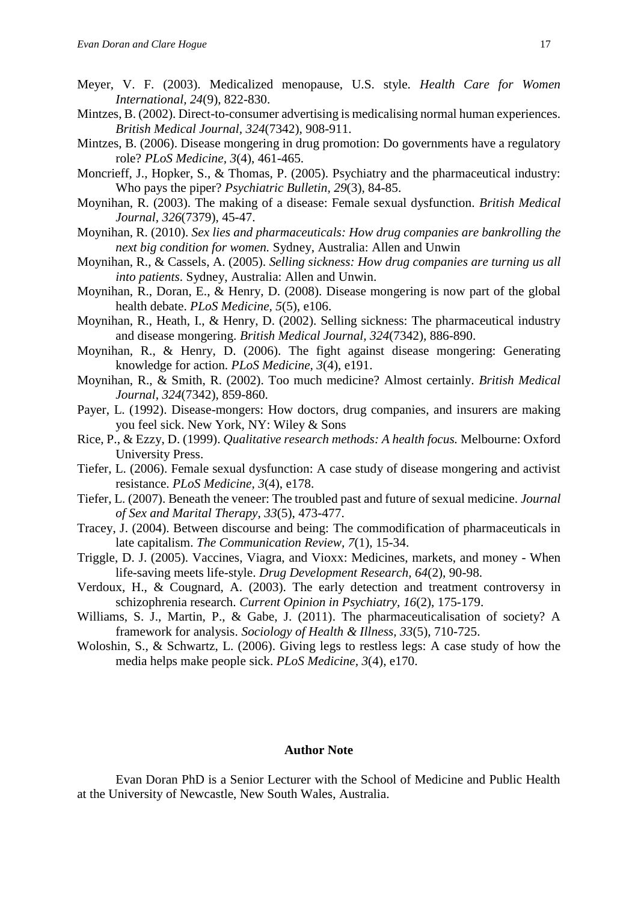- Meyer, V. F. (2003). Medicalized menopause, U.S. style*. Health Care for Women International, 24*(9), 822-830.
- Mintzes, B. (2002). Direct-to-consumer advertising is medicalising normal human experiences. *British Medical Journal, 324*(7342), 908-911.
- Mintzes, B. (2006). Disease mongering in drug promotion: Do governments have a regulatory role? *PLoS Medicine, 3*(4), 461-465.
- Moncrieff, J., Hopker, S., & Thomas, P. (2005). Psychiatry and the pharmaceutical industry: Who pays the piper? *Psychiatric Bulletin, 29*(3), 84-85.
- Moynihan, R. (2003). The making of a disease: Female sexual dysfunction. *British Medical Journal, 326*(7379), 45-47.
- Moynihan, R. (2010). *Sex lies and pharmaceuticals: How drug companies are bankrolling the next big condition for women.* Sydney, Australia: Allen and Unwin
- Moynihan, R., & Cassels, A. (2005). *Selling sickness: How drug companies are turning us all into patients*. Sydney, Australia: Allen and Unwin.
- Moynihan, R., Doran, E., & Henry, D. (2008). Disease mongering is now part of the global health debate. *PLoS Medicine, 5*(5), e106.
- Moynihan, R., Heath, I., & Henry, D. (2002). Selling sickness: The pharmaceutical industry and disease mongering. *British Medical Journal, 324*(7342)*,* 886-890.
- Moynihan, R., & Henry, D. (2006). The fight against disease mongering: Generating knowledge for action. *PLoS Medicine, 3*(4), e191.
- Moynihan, R., & Smith, R. (2002). Too much medicine? Almost certainly. *British Medical Journal*, *324*(7342), 859-860.
- Payer, L. (1992). Disease-mongers: How doctors, drug companies, and insurers are making you feel sick. New York, NY: Wiley & Sons
- Rice, P., & Ezzy, D. (1999). *Qualitative research methods: A health focus.* Melbourne: Oxford University Press.
- Tiefer, L. (2006). Female sexual dysfunction: A case study of disease mongering and activist resistance. *PLoS Medicine, 3*(4), e178.
- Tiefer, L. (2007). Beneath the veneer: The troubled past and future of sexual medicine. *Journal of Sex and Marital Therapy, 33*(5), 473-477.
- Tracey, J. (2004). Between discourse and being: The commodification of pharmaceuticals in late capitalism. *The Communication Review, 7*(1), 15-34.
- Triggle, D. J. (2005). Vaccines, Viagra, and Vioxx: Medicines, markets, and money When life-saving meets life-style. *Drug Development Research, 64*(2), 90-98.
- Verdoux, H., & Cougnard, A. (2003). The early detection and treatment controversy in schizophrenia research. *Current Opinion in Psychiatry, 16*(2), 175-179.
- Williams, S. J., Martin, P., & Gabe, J. (2011). The pharmaceuticalisation of society? A framework for analysis. *Sociology of Health & Illness, 33*(5), 710-725.
- Woloshin, S., & Schwartz, L. (2006). Giving legs to restless legs: A case study of how the media helps make people sick. *PLoS Medicine, 3*(4), e170.

## **Author Note**

Evan Doran PhD is a Senior Lecturer with the School of Medicine and Public Health at the University of Newcastle, New South Wales, Australia.